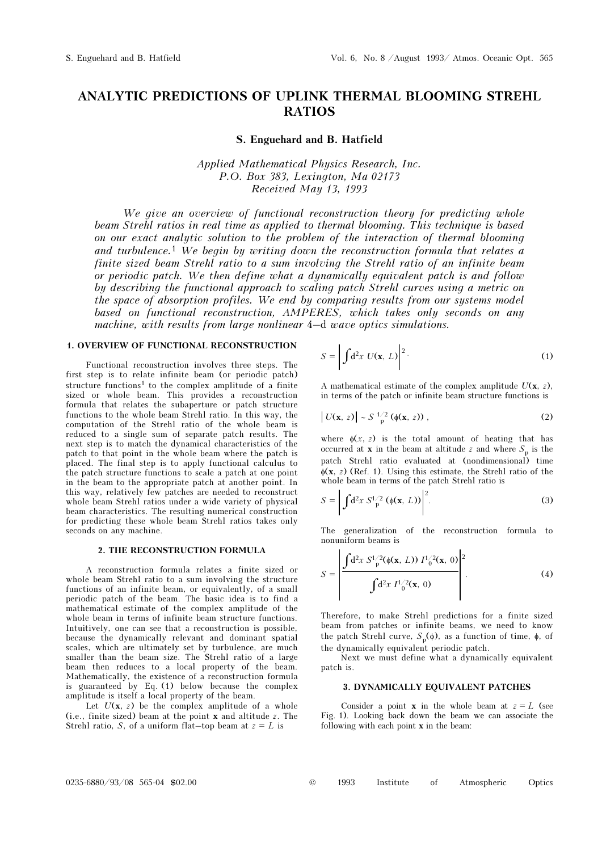# ANALYTIC PREDICTIONS OF UPLINK THERMAL BLOOMING STREHL RATIOS

## S. Enguehard and B. Hatfield

Applied Mathematical Physics Research, Inc. P.O. Box 383, Lexington, Ma 02173 Received May 13, 1993

We give an overview of functional reconstruction theory for predicting whole beam Strehl ratios in real time as applied to thermal blooming. This technique is based on our exact analytic solution to the problem of the interaction of thermal blooming and turbulence.<sup>1</sup> We begin by writing down the reconstruction formula that relates a finite sized beam Strehl ratio to a sum involving the Strehl ratio of an infinite beam or periodic patch. We then define what a dynamically equivalent patch is and follow by describing the functional approach to scaling patch Strehl curves using a metric on the space of absorption profiles. We end by comparing results from our systems model based on functional reconstruction, AMPERES, which takes only seconds on any machine, with results from large nonlinear 4–d wave optics simulations.

#### 1. OVERVIEW OF FUNCTIONAL RECONSTRUCTION

Functional reconstruction involves three steps. The first step is to relate infinite beam (or periodic patch) structure functions<sup>1</sup> to the complex amplitude of a finite sized or whole beam. This provides a reconstruction formula that relates the subaperture or patch structure functions to the whole beam Strehl ratio. In this way, the computation of the Strehl ratio of the whole beam is reduced to a single sum of separate patch results. The next step is to match the dynamical characteristics of the patch to that point in the whole beam where the patch is placed. The final step is to apply functional calculus to the patch structure functions to scale a patch at one point in the beam to the appropriate patch at another point. In this way, relatively few patches are needed to reconstruct whole beam Strehl ratios under a wide variety of physical beam characteristics. The resulting numerical construction for predicting these whole beam Strehl ratios takes only seconds on any machine.

## 2. THE RECONSTRUCTION FORMULA

A reconstruction formula relates a finite sized or whole beam Strehl ratio to a sum involving the structure functions of an infinite beam, or equivalently, of a small periodic patch of the beam. The basic idea is to find a mathematical estimate of the complex amplitude of the whole beam in terms of infinite beam structure functions. Intuitively, one can see that a reconstruction is possible, because the dynamically relevant and dominant spatial scales, which are ultimately set by turbulence, are much smaller than the beam size. The Strehl ratio of a large beam then reduces to a local property of the beam. Mathematically, the existence of a reconstruction formula is guaranteed by Eq. (1) below because the complex amplitude is itself a local property of the beam.

Let  $U(x, z)$  be the complex amplitude of a whole (i.e., finite sized) beam at the point x and altitude z. The Strehl ratio, S, of a uniform flat-top beam at  $z = L$  is

$$
S = \left| \int d^2x \ U(\mathbf{x}, L) \right|^2.
$$
 (1)

A mathematical estimate of the complex amplitude  $U(\mathbf{x}, z)$ , in terms of the patch or infinite beam structure functions is

$$
\left| U(\mathbf{x}, z) \right| \sim S^{-1/2} \left( \phi(\mathbf{x}, z) \right), \tag{2}
$$

where  $\phi(x, z)$  is the total amount of heating that has occurred at **x** in the beam at altitude z and where  $S_n$  is the patch Strehl ratio evaluated at (nondimensional) time  $\phi(\mathbf{x}, z)$  (Ref. 1). Using this estimate, the Strehl ratio of the whole beam in terms of the patch Strehl ratio is

$$
S = \left| \int d^2x \ S_{\rm p}^{1/2} \left( \phi(\mathbf{x}, L) \right) \right|^2. \tag{3}
$$

The generalization of the reconstruction formula to nonuniform beams is

$$
S = \left| \frac{\int d^2x \, S_{\rm p}^{1/2}(\phi(\mathbf{x}, L)) \, I_{\rm 0}^{1/2}(\mathbf{x}, 0)}{\int d^2x \, I_{\rm 0}^{1/2}(\mathbf{x}, 0)} \right|^2.
$$
 (4)

Therefore, to make Strehl predictions for a finite sized beam from patches or infinite beams, we need to know the patch Strehl curve,  $S_p(\phi)$ , as a function of time, φ, of the dynamically equivalent periodic patch.

Next we must define what a dynamically equivalent patch is.

#### 3. DYNAMICALLY EQUIVALENT PATCHES

Consider a point **x** in the whole beam at  $z = L$  (see Fig. 1). Looking back down the beam we can associate the following with each point x in the beam: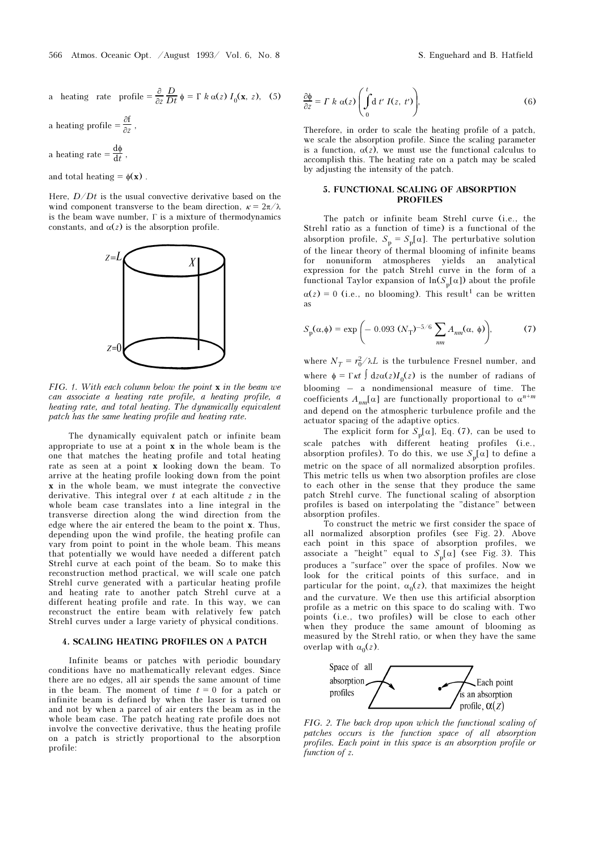a heating rate profile 
$$
=\frac{\partial}{\partial z}\frac{D}{Dt}\phi = \Gamma k \alpha(z) I_0(\mathbf{x}, z)
$$
, (5)

a heating profile  $=$   $\frac{\partial f}{\partial z}$ ,

a heating rate  $= \frac{d\phi}{dt}$ ,

and total heating =  $\phi(\mathbf{x})$ .

Here,  $D/Dt$  is the usual convective derivative based on the wind component transverse to the beam direction,  $\kappa = 2\pi/\lambda$ is the beam wave number,  $\Gamma$  is a mixture of thermodynamics constants, and  $\alpha(z)$  is the absorption profile.



FIG. 1. With each column below the point  $x$  in the beam we can associate a heating rate profile, a heating profile, a heating rate, and total heating. The dynamically equivalent patch has the same heating profile and heating rate.

The dynamically equivalent patch or infinite beam appropriate to use at a point  $x$  in the whole beam is the one that matches the heating profile and total heating rate as seen at a point x looking down the beam. To arrive at the heating profile looking down from the point x in the whole beam, we must integrate the convective derivative. This integral over  $t$  at each altitude  $z$  in the whole beam case translates into a line integral in the transverse direction along the wind direction from the edge where the air entered the beam to the point x. Thus, depending upon the wind profile, the heating profile can vary from point to point in the whole beam. This means that potentially we would have needed a different patch Strehl curve at each point of the beam. So to make this reconstruction method practical, we will scale one patch Strehl curve generated with a particular heating profile and heating rate to another patch Strehl curve at a different heating profile and rate. In this way, we can reconstruct the entire beam with relatively few patch Strehl curves under a large variety of physical conditions.

#### 4. SCALING HEATING PROFILES ON A PATCH

Infinite beams or patches with periodic boundary conditions have no mathematically relevant edges. Since there are no edges, all air spends the same amount of time in the beam. The moment of time  $t = 0$  for a patch or infinite beam is defined by when the laser is turned on and not by when a parcel of air enters the beam as in the whole beam case. The patch heating rate profile does not involve the convective derivative, thus the heating profile on a patch is strictly proportional to the absorption profile:

$$
\frac{\partial \phi}{\partial z} = \Gamma \, k \, \alpha(z) \left( \int_0^t d \, t' \, I(z, \, t') \right), \tag{6}
$$

Therefore, in order to scale the heating profile of a patch, we scale the absorption profile. Since the scaling parameter is a function,  $\alpha(z)$ , we must use the functional calculus to accomplish this. The heating rate on a patch may be scaled by adjusting the intensity of the patch.

### 5. FUNCTIONAL SCALING OF ABSORPTION PROFILES

The patch or infinite beam Strehl curve (i.e., the Strehl ratio as a function of time) is a functional of the absorption profile,  $S_p = S_p[\alpha]$ . The perturbative solution of the linear theory of thermal blooming of infinite beams for nonuniform atmospheres yields an analytical expression for the patch Strehl curve in the form of a functional Taylor expansion of  $\ln(S_p[\alpha])$  about the profile  $\alpha(z) = 0$  (i.e., no blooming). This result<sup>1</sup> can be written as

$$
S_{\rm p}(\alpha,\phi) = \exp\left(-0.093\ (N_{\rm T})^{-5/6}\sum_{nm} A_{nm}(\alpha,\ \phi)\right),\tag{7}
$$

where  $N_T = r_0^2 / \lambda L$  is the turbulence Fresnel number, and where  $\phi = \Gamma \kappa t \int dz \alpha(z) I_0(z)$  is the number of radians of blooming – a nondimensional measure of time. The coefficients  $A_{nm}[\alpha]$  are functionally proportional to  $\alpha^{n+m}$ and depend on the atmospheric turbulence profile and the actuator spacing of the adaptive optics.

The explicit form for  $S_p[\alpha]$ , Eq. (7), can be used to scale patches with different heating profiles (i.e., absorption profiles). To do this, we use  $S_p[\alpha]$  to define a metric on the space of all normalized absorption profiles. This metric tells us when two absorption profiles are close to each other in the sense that they produce the same patch Strehl curve. The functional scaling of absorption profiles is based on interpolating the "distance" between absorption profiles.

To construct the metric we first consider the space of all normalized absorption profiles (see Fig. 2). Above each point in this space of absorption profiles, we associate a "height" equal to  $S_p[\alpha]$  (see Fig. 3). This produces a "surface" over the space of profiles. Now we look for the critical points of this surface, and in particular for the point,  $\alpha_0(z)$ , that maximizes the height and the curvature. We then use this artificial absorption profile as a metric on this space to do scaling with. Two points (i.e., two profiles) will be close to each other when they produce the same amount of blooming as measured by the Strehl ratio, or when they have the same overlap with  $\alpha_0(z)$ .



FIG. 2. The back drop upon which the functional scaling of patches occurs is the function space of all absorption profiles. Each point in this space is an absorption profile or function of z.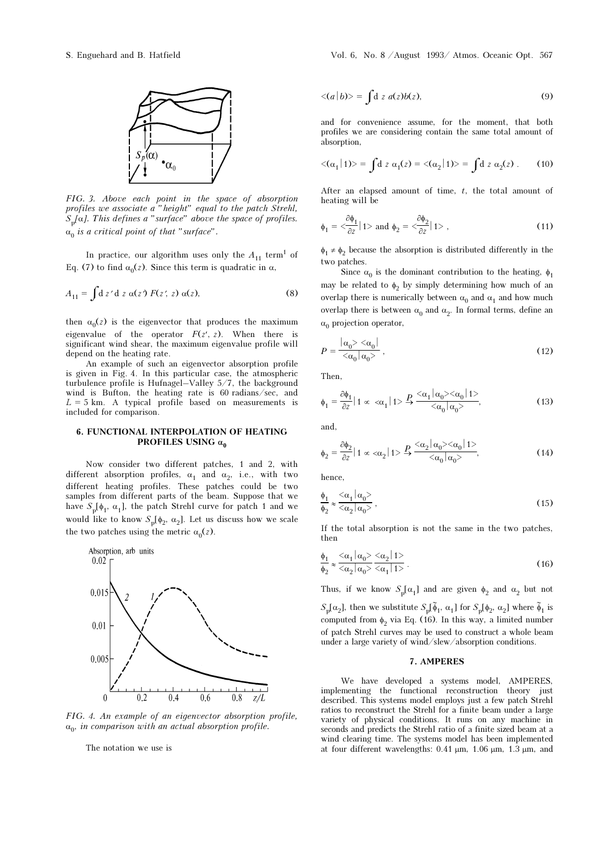

FIG. 3. Above each point in the space of absorption profiles we associate a "height" equal to the patch Strehl,  $S_p[\alpha]$ . This defines a "surface" above the space of profiles.  $\alpha_0$  is a critical point of that "surface".

In practice, our algorithm uses only the  $A_{11}$  term<sup>1</sup> of Eq. (7) to find  $\alpha_0(z)$ . Since this term is quadratic in  $\alpha$ ,

$$
A_{11} = \int d z' d z \alpha(z') F(z', z) \alpha(z), \qquad (8)
$$

then  $\alpha_0(z)$  is the eigenvector that produces the maximum eigenvalue of the operator  $F(z', z)$ . When there is significant wind shear, the maximum eigenvalue profile will depend on the heating rate.

An example of such an eigenvector absorption profile is given in Fig. 4. In this particular case, the atmospheric turbulence profile is Hufnagel–Valley  $5/7$ , the background wind is Bufton, the heating rate is 60 radians/sec, and  $L = 5$  km. A typical profile based on measurements is included for comparison.

## 6. FUNCTIONAL INTERPOLATION OF HEATING PROFILES USING  $\alpha_0$

Now consider two different patches, 1 and 2, with different absorption profiles,  $\alpha_1$  and  $\alpha_2$ , i.e., with two different heating profiles. These patches could be two samples from different parts of the beam. Suppose that we have  $S_p[\phi_1, \alpha_1]$ , the patch Strehl curve for patch 1 and we would like to know  $S_p[\phi_2, \alpha_2]$ . Let us discuss how we scale the two patches using the metric  $\alpha_0(z)$ .



FIG. 4. An example of an eigenvector absorption profile,  $\alpha_0$ , in comparison with an actual absorption profile.

The notation we use is

$$
\langle (a|b)\rangle = \int \mathrm{d} z \ a(z)b(z),\tag{9}
$$

and for convenience assume, for the moment, that both profiles we are considering contain the same total amount of absorption,

$$
\langle (\alpha_1 | 1) \rangle = \int d z \, \alpha_1(z) = \langle (\alpha_2 | 1) \rangle = \int d z \, \alpha_2(z) \,. \tag{10}
$$

After an elapsed amount of time,  $t$ , the total amount of heating will be

$$
\phi_1 = \frac{\partial \phi_1}{\partial z} |1\rangle \text{ and } \phi_2 = \frac{\partial \phi_2}{\partial z} |1\rangle \,,\tag{11}
$$

 $\phi_1 \neq \phi_2$  because the absorption is distributed differently in the two patches.

Since  $\alpha_0$  is the dominant contribution to the heating,  $\phi_1$ may be related to  $\phi_2$  by simply determining how much of an overlap there is numerically between  $\alpha_0$  and  $\alpha_1$  and how much overlap there is between  $\alpha_0$  and  $\alpha_2$ . In formal terms, define an  $\alpha_0$  projection operator,

$$
P = \frac{|\alpha_0\rangle \langle \alpha_0|}{\langle \alpha_0 | \alpha_0 \rangle},\tag{12}
$$

Then,

$$
\phi_1 = \frac{\partial \phi_1}{\partial z} | 1 \propto \langle \alpha_1 | 1 \rangle \xrightarrow{P} \frac{\langle \alpha_1 | \alpha_0 \rangle \langle \alpha_0 | 1 \rangle}{\langle \alpha_0 | \alpha_0 \rangle},
$$
\n(13)

and,

$$
\phi_2 = \frac{\partial \phi_2}{\partial z} | 1 \propto \langle \alpha_2 | 1 \rangle \stackrel{P}{\rightarrow} \frac{\langle \alpha_2 | \alpha_0 \rangle \langle \alpha_0 | 1 \rangle}{\langle \alpha_0 | \alpha_0 \rangle},
$$
\n(14)

hence,

$$
\frac{\phi_1}{\phi_2} \approx \frac{<\alpha_1 \mid \alpha_0>}{<\alpha_2 \mid \alpha_0>},\tag{15}
$$

If the total absorption is not the same in the two patches, then

$$
\frac{\phi_1}{\phi_2} \approx \frac{\langle \alpha_1 | \alpha_0 \rangle \langle \alpha_2 | 1 \rangle}{\langle \alpha_2 | \alpha_0 \rangle \langle \alpha_1 | 1 \rangle}.
$$
\n(16)

Thus, if we know  $S_p[\alpha_1]$  and are given  $\phi_2$  and  $\alpha_2$  but not

 $S_{\rm p}[\alpha_2]$ , then we substitute  $S_{\rm p}[\tilde{\phi}_1, \alpha_1]$  for  $S_{\rm p}[\phi_2, \alpha_2]$  where  $\tilde{\phi}_1$  is computed from  $\phi_2$  via Eq. (16). In this way, a limited number of patch Strehl curves may be used to construct a whole beam under a large variety of wind/slew/absorption conditions.

## 7. AMPERES

We have developed a systems model, AMPERES, implementing the functional reconstruction theory just described. This systems model employs just a few patch Strehl ratios to reconstruct the Strehl for a finite beam under a large variety of physical conditions. It runs on any machine in seconds and predicts the Strehl ratio of a finite sized beam at a wind clearing time. The systems model has been implemented at four different wavelengths:  $0.41 \mu m$ ,  $1.06 \mu m$ ,  $1.3 \mu m$ , and